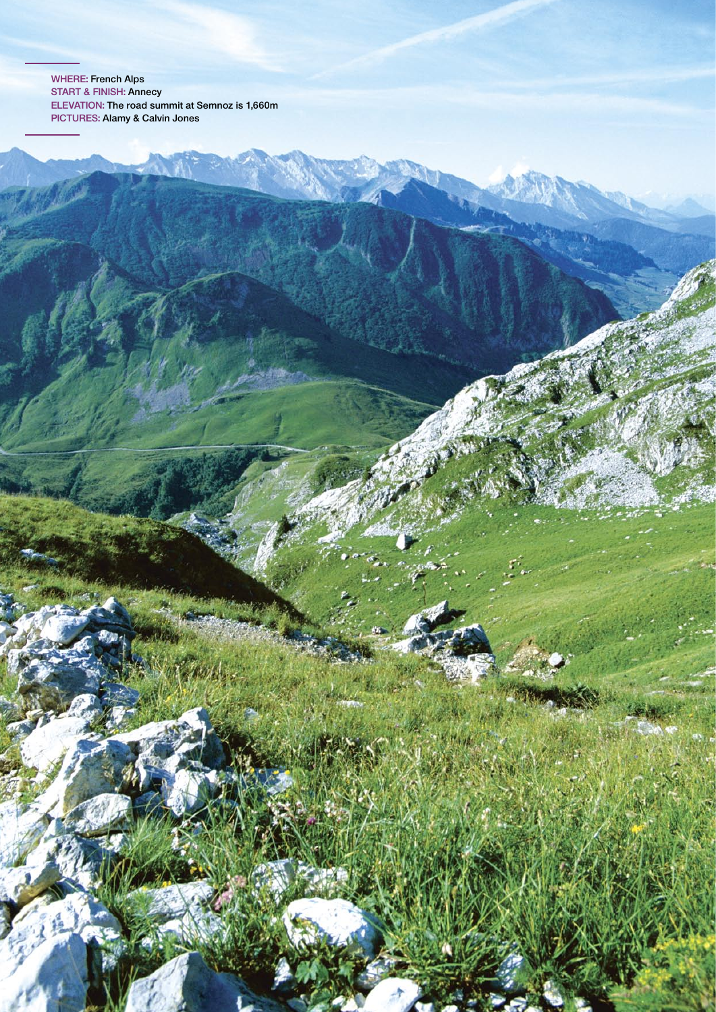**Where: French Alps Start & finish: Annecy elevation: The road summit at Semnoz is 1,660m pictures: Alamy & Calvin Jones**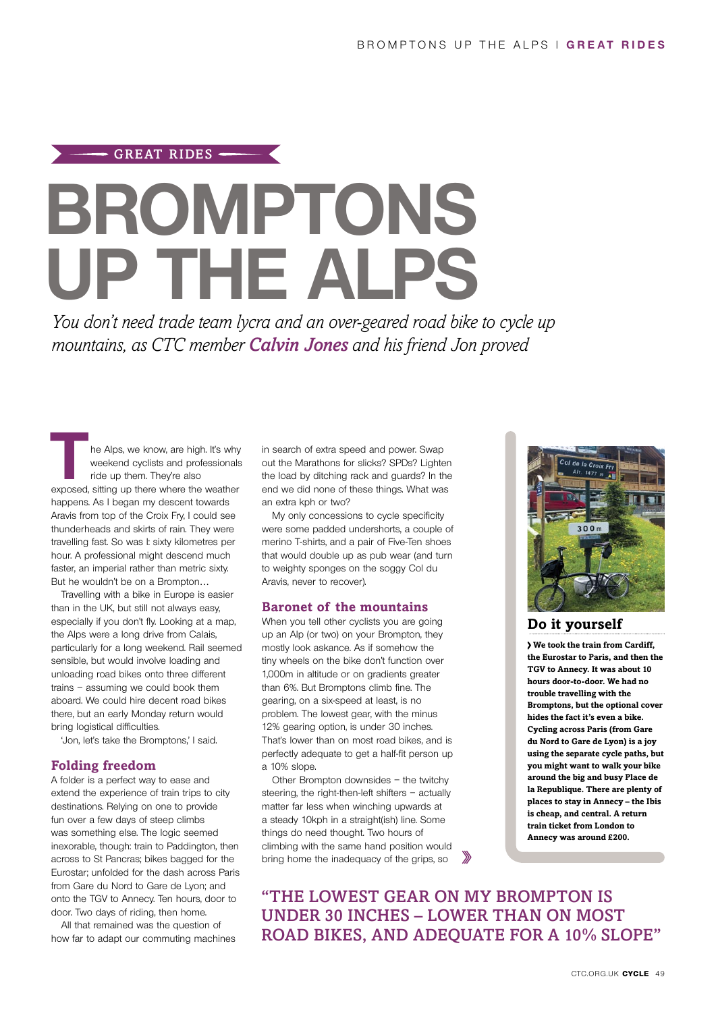# **Bromptons up the Alps** GREAT RIDES

*You don't need trade team lycra and an over-geared road bike to cycle up mountains, as CTC member Calvin Jones and his friend Jon proved* 

**THE Alps, we know, are high. It's why**<br>
weekend cyclists and professionals<br>
ride up them. They're also<br>
exposed, sitting up there where the weather weekend cyclists and professionals ride up them. They're also happens. As I began my descent towards Aravis from top of the Croix Fry, I could see thunderheads and skirts of rain. They were travelling fast. So was I: sixty kilometres per hour. A professional might descend much faster, an imperial rather than metric sixty. But he wouldn't be on a Brompton…

Travelling with a bike in Europe is easier than in the UK, but still not always easy, especially if you don't fly. Looking at a map, the Alps were a long drive from Calais, particularly for a long weekend. Rail seemed sensible, but would involve loading and unloading road bikes onto three different trains – assuming we could book them aboard. We could hire decent road bikes there, but an early Monday return would bring logistical difficulties.

'Jon, let's take the Bromptons,' I said.

#### **Folding freedom**

A folder is a perfect way to ease and extend the experience of train trips to city destinations. Relying on one to provide fun over a few days of steep climbs was something else. The logic seemed inexorable, though: train to Paddington, then across to St Pancras; bikes bagged for the Eurostar; unfolded for the dash across Paris from Gare du Nord to Gare de Lyon; and onto the TGV to Annecy. Ten hours, door to door. Two days of riding, then home.

All that remained was the question of how far to adapt our commuting machines in search of extra speed and power. Swap out the Marathons for slicks? SPDs? Lighten the load by ditching rack and guards? In the end we did none of these things. What was an extra kph or two?

My only concessions to cycle specificity were some padded undershorts, a couple of merino T-shirts, and a pair of Five-Ten shoes that would double up as pub wear (and turn to weighty sponges on the soggy Col du Aravis, never to recover).

#### **Baronet of the mountains**

When you tell other cyclists you are going up an Alp (or two) on your Brompton, they mostly look askance. As if somehow the tiny wheels on the bike don't function over 1,000m in altitude or on gradients greater than 6%. But Bromptons climb fine. The gearing, on a six-speed at least, is no problem. The lowest gear, with the minus 12% gearing option, is under 30 inches. That's lower than on most road bikes, and is perfectly adequate to get a half-fit person up a 10% slope.

Other Brompton downsides – the twitchy steering, the right-then-left shifters – actually matter far less when winching upwards at a steady 10kph in a straight(ish) line. Some things do need thought. Two hours of climbing with the same hand position would bring home the inadequacy of the grips, so



# **Do it yourself**

**We took the train from Cardiff, the Eurostar to Paris, and then the TGV to Annecy. It was about 10 hours door-to-door. We had no trouble travelling with the Bromptons, but the optional cover hides the fact it's even a bike. Cycling across Paris (from Gare du Nord to Gare de Lyon) is a joy using the separate cycle paths, but you might want to walk your bike around the big and busy Place de la Republique. There are plenty of places to stay in Annecy – the Ibis is cheap, and central. A return train ticket from London to Annecy was around £200.**

"the lowest gear on my brompton is under 30 inches – lower than on most ROAD BIKES, AND ADEOUATE FOR A 10% SLOPE"